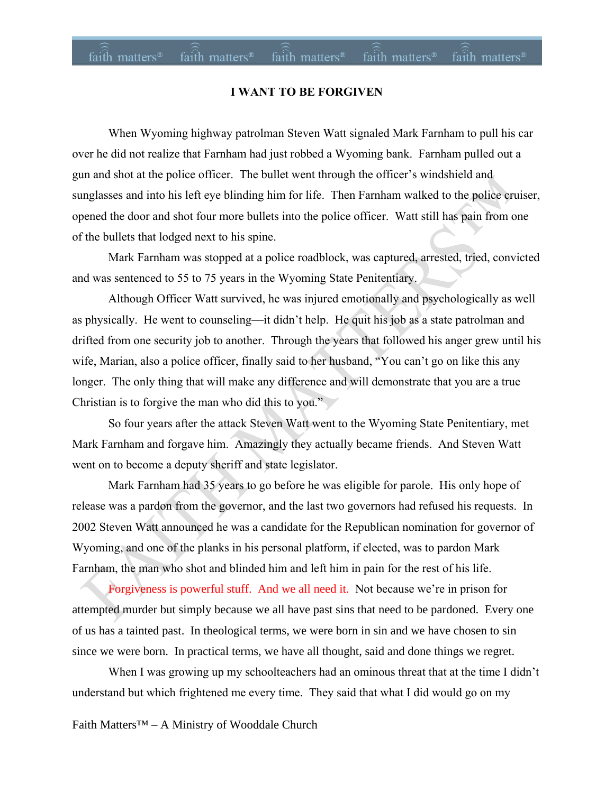#### **I WANT TO BE FORGIVEN**

When Wyoming highway patrolman Steven Watt signaled Mark Farnham to pull his car over he did not realize that Farnham had just robbed a Wyoming bank. Farnham pulled out a gun and shot at the police officer. The bullet went through the officer's windshield and sunglasses and into his left eye blinding him for life. Then Farnham walked to the police cruiser, opened the door and shot four more bullets into the police officer. Watt still has pain from one of the bullets that lodged next to his spine.

Mark Farnham was stopped at a police roadblock, was captured, arrested, tried, convicted and was sentenced to 55 to 75 years in the Wyoming State Penitentiary.

Although Officer Watt survived, he was injured emotionally and psychologically as well as physically. He went to counseling—it didn't help. He quit his job as a state patrolman and drifted from one security job to another. Through the years that followed his anger grew until his wife, Marian, also a police officer, finally said to her husband, "You can't go on like this any longer. The only thing that will make any difference and will demonstrate that you are a true Christian is to forgive the man who did this to you."

So four years after the attack Steven Watt went to the Wyoming State Penitentiary, met Mark Farnham and forgave him. Amazingly they actually became friends. And Steven Watt went on to become a deputy sheriff and state legislator.

Mark Farnham had 35 years to go before he was eligible for parole. His only hope of release was a pardon from the governor, and the last two governors had refused his requests. In 2002 Steven Watt announced he was a candidate for the Republican nomination for governor of Wyoming, and one of the planks in his personal platform, if elected, was to pardon Mark Farnham, the man who shot and blinded him and left him in pain for the rest of his life.

Forgiveness is powerful stuff. And we all need it. Not because we're in prison for attempted murder but simply because we all have past sins that need to be pardoned. Every one of us has a tainted past. In theological terms, we were born in sin and we have chosen to sin since we were born. In practical terms, we have all thought, said and done things we regret.

When I was growing up my schoolteachers had an ominous threat that at the time I didn't understand but which frightened me every time. They said that what I did would go on my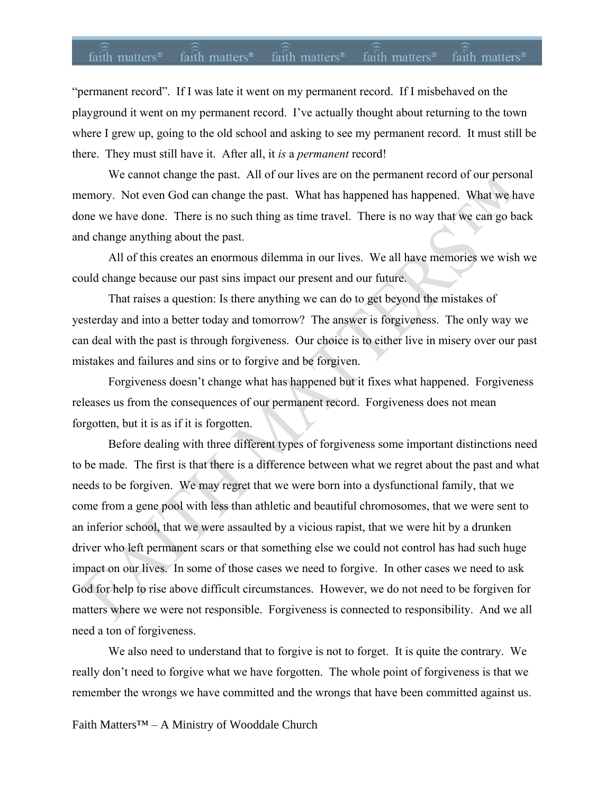#### faith matters<sup>®</sup> faith matters<sup>®</sup> faith matters<sup>®</sup> faith matters<sup>®</sup> faith matters<sup>®</sup>

"permanent record". If I was late it went on my permanent record. If I misbehaved on the playground it went on my permanent record. I've actually thought about returning to the town where I grew up, going to the old school and asking to see my permanent record. It must still be there. They must still have it. After all, it *is* a *permanent* record!

We cannot change the past. All of our lives are on the permanent record of our personal memory. Not even God can change the past. What has happened has happened. What we have done we have done. There is no such thing as time travel. There is no way that we can go back and change anything about the past.

All of this creates an enormous dilemma in our lives. We all have memories we wish we could change because our past sins impact our present and our future.

That raises a question: Is there anything we can do to get beyond the mistakes of yesterday and into a better today and tomorrow? The answer is forgiveness. The only way we can deal with the past is through forgiveness. Our choice is to either live in misery over our past mistakes and failures and sins or to forgive and be forgiven.

Forgiveness doesn't change what has happened but it fixes what happened. Forgiveness releases us from the consequences of our permanent record. Forgiveness does not mean forgotten, but it is as if it is forgotten.

Before dealing with three different types of forgiveness some important distinctions need to be made. The first is that there is a difference between what we regret about the past and what needs to be forgiven. We may regret that we were born into a dysfunctional family, that we come from a gene pool with less than athletic and beautiful chromosomes, that we were sent to an inferior school, that we were assaulted by a vicious rapist, that we were hit by a drunken driver who left permanent scars or that something else we could not control has had such huge impact on our lives. In some of those cases we need to forgive. In other cases we need to ask God for help to rise above difficult circumstances. However, we do not need to be forgiven for matters where we were not responsible. Forgiveness is connected to responsibility. And we all need a ton of forgiveness.

We also need to understand that to forgive is not to forget. It is quite the contrary. We really don't need to forgive what we have forgotten. The whole point of forgiveness is that we remember the wrongs we have committed and the wrongs that have been committed against us.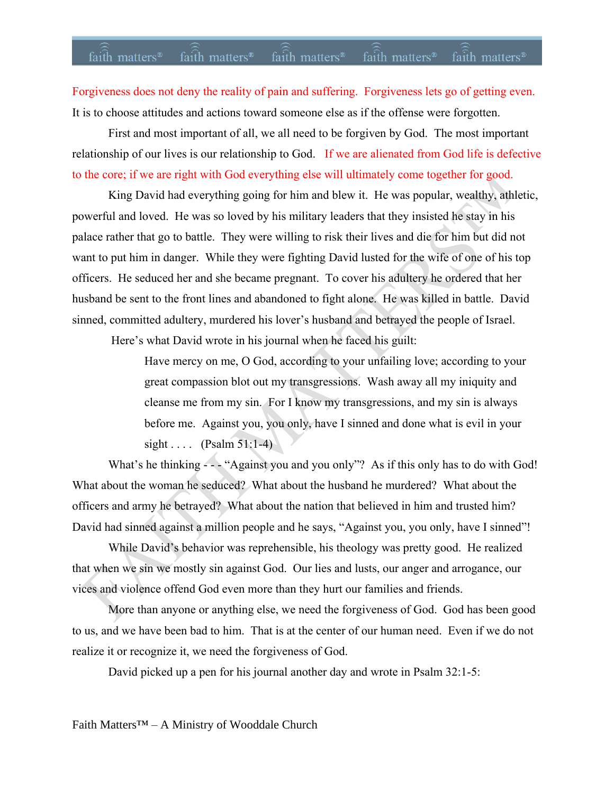### faith matters<sup>®</sup> faith matters<sup>®</sup> faith matters<sup>®</sup> faith matters<sup>®</sup> faith matters<sup>®</sup>

Forgiveness does not deny the reality of pain and suffering. Forgiveness lets go of getting even. It is to choose attitudes and actions toward someone else as if the offense were forgotten.

First and most important of all, we all need to be forgiven by God. The most important relationship of our lives is our relationship to God. If we are alienated from God life is defective to the core; if we are right with God everything else will ultimately come together for good.

King David had everything going for him and blew it. He was popular, wealthy, athletic, powerful and loved. He was so loved by his military leaders that they insisted he stay in his palace rather that go to battle. They were willing to risk their lives and die for him but did not want to put him in danger. While they were fighting David lusted for the wife of one of his top officers. He seduced her and she became pregnant. To cover his adultery he ordered that her husband be sent to the front lines and abandoned to fight alone. He was killed in battle. David sinned, committed adultery, murdered his lover's husband and betrayed the people of Israel.

Here's what David wrote in his journal when he faced his guilt:

Have mercy on me, O God, according to your unfailing love; according to your great compassion blot out my transgressions. Wash away all my iniquity and cleanse me from my sin. For I know my transgressions, and my sin is always before me. Against you, you only, have I sinned and done what is evil in your sight . . . . (Psalm  $51:1-4$ )

What's he thinking  $-\frac{1}{2}$  "Against you and you only"? As if this only has to do with God! What about the woman he seduced? What about the husband he murdered? What about the officers and army he betrayed? What about the nation that believed in him and trusted him? David had sinned against a million people and he says, "Against you, you only, have I sinned"!

While David's behavior was reprehensible, his theology was pretty good. He realized that when we sin we mostly sin against God. Our lies and lusts, our anger and arrogance, our vices and violence offend God even more than they hurt our families and friends.

More than anyone or anything else, we need the forgiveness of God. God has been good to us, and we have been bad to him. That is at the center of our human need. Even if we do not realize it or recognize it, we need the forgiveness of God.

David picked up a pen for his journal another day and wrote in Psalm 32:1-5: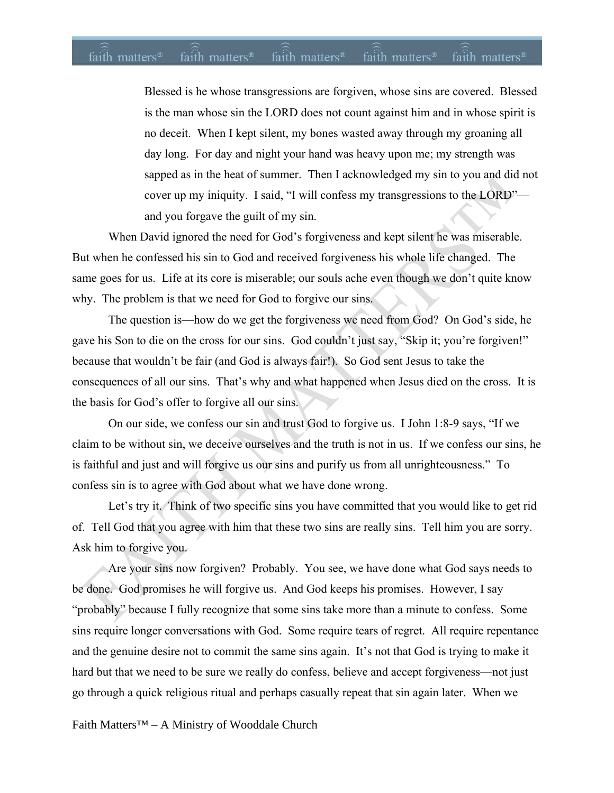#### faith matters<sup>®</sup> faith matters<sup>®</sup> faith matters<sup>®</sup> faith matters<sup>®</sup> faith matters<sup>®</sup>

Blessed is he whose transgressions are forgiven, whose sins are covered. Blessed is the man whose sin the LORD does not count against him and in whose spirit is no deceit. When I kept silent, my bones wasted away through my groaning all day long. For day and night your hand was heavy upon me; my strength was sapped as in the heat of summer. Then I acknowledged my sin to you and did not cover up my iniquity. I said, "I will confess my transgressions to the LORD" and you forgave the guilt of my sin.

When David ignored the need for God's forgiveness and kept silent he was miserable. But when he confessed his sin to God and received forgiveness his whole life changed. The same goes for us. Life at its core is miserable; our souls ache even though we don't quite know why. The problem is that we need for God to forgive our sins.

The question is—how do we get the forgiveness we need from God? On God's side, he gave his Son to die on the cross for our sins. God couldn't just say, "Skip it; you're forgiven!" because that wouldn't be fair (and God is always fair!). So God sent Jesus to take the consequences of all our sins. That's why and what happened when Jesus died on the cross. It is the basis for God's offer to forgive all our sins.

On our side, we confess our sin and trust God to forgive us. I John 1:8-9 says, "If we claim to be without sin, we deceive ourselves and the truth is not in us. If we confess our sins, he is faithful and just and will forgive us our sins and purify us from all unrighteousness." To confess sin is to agree with God about what we have done wrong.

Let's try it. Think of two specific sins you have committed that you would like to get rid of. Tell God that you agree with him that these two sins are really sins. Tell him you are sorry. Ask him to forgive you.

Are your sins now forgiven? Probably. You see, we have done what God says needs to be done. God promises he will forgive us. And God keeps his promises. However, I say "probably" because I fully recognize that some sins take more than a minute to confess. Some sins require longer conversations with God. Some require tears of regret. All require repentance and the genuine desire not to commit the same sins again. It's not that God is trying to make it hard but that we need to be sure we really do confess, believe and accept forgiveness—not just go through a quick religious ritual and perhaps casually repeat that sin again later. When we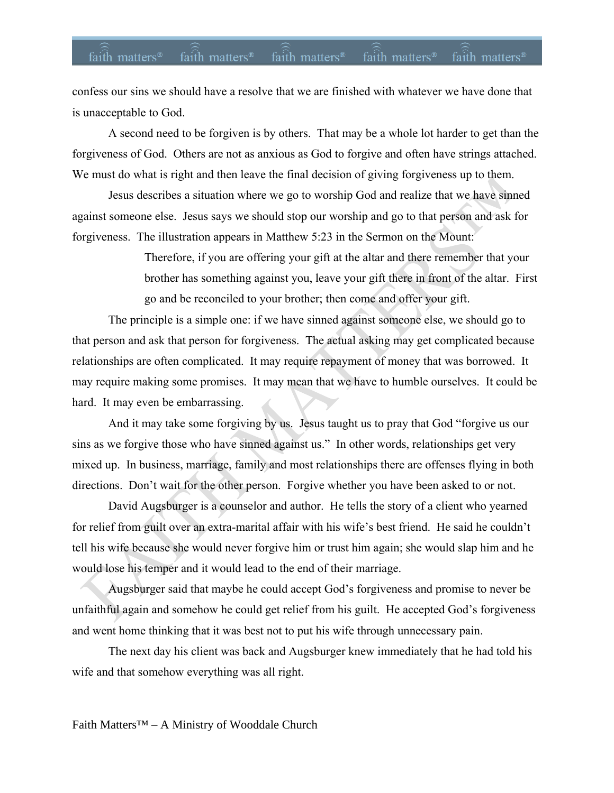### faith matters<sup>®</sup> faith matters<sup>®</sup> faith matters® faith matters® faith matters<sup>®</sup>

confess our sins we should have a resolve that we are finished with whatever we have done that is unacceptable to God.

A second need to be forgiven is by others. That may be a whole lot harder to get than the forgiveness of God. Others are not as anxious as God to forgive and often have strings attached. We must do what is right and then leave the final decision of giving forgiveness up to them.

Jesus describes a situation where we go to worship God and realize that we have sinned against someone else. Jesus says we should stop our worship and go to that person and ask for forgiveness. The illustration appears in Matthew 5:23 in the Sermon on the Mount:

> Therefore, if you are offering your gift at the altar and there remember that your brother has something against you, leave your gift there in front of the altar. First go and be reconciled to your brother; then come and offer your gift.

The principle is a simple one: if we have sinned against someone else, we should go to that person and ask that person for forgiveness. The actual asking may get complicated because relationships are often complicated. It may require repayment of money that was borrowed. It may require making some promises. It may mean that we have to humble ourselves. It could be hard. It may even be embarrassing.

And it may take some forgiving by us. Jesus taught us to pray that God "forgive us our sins as we forgive those who have sinned against us." In other words, relationships get very mixed up. In business, marriage, family and most relationships there are offenses flying in both directions. Don't wait for the other person. Forgive whether you have been asked to or not.

David Augsburger is a counselor and author. He tells the story of a client who yearned for relief from guilt over an extra-marital affair with his wife's best friend. He said he couldn't tell his wife because she would never forgive him or trust him again; she would slap him and he would lose his temper and it would lead to the end of their marriage.

Augsburger said that maybe he could accept God's forgiveness and promise to never be unfaithful again and somehow he could get relief from his guilt. He accepted God's forgiveness and went home thinking that it was best not to put his wife through unnecessary pain.

The next day his client was back and Augsburger knew immediately that he had told his wife and that somehow everything was all right.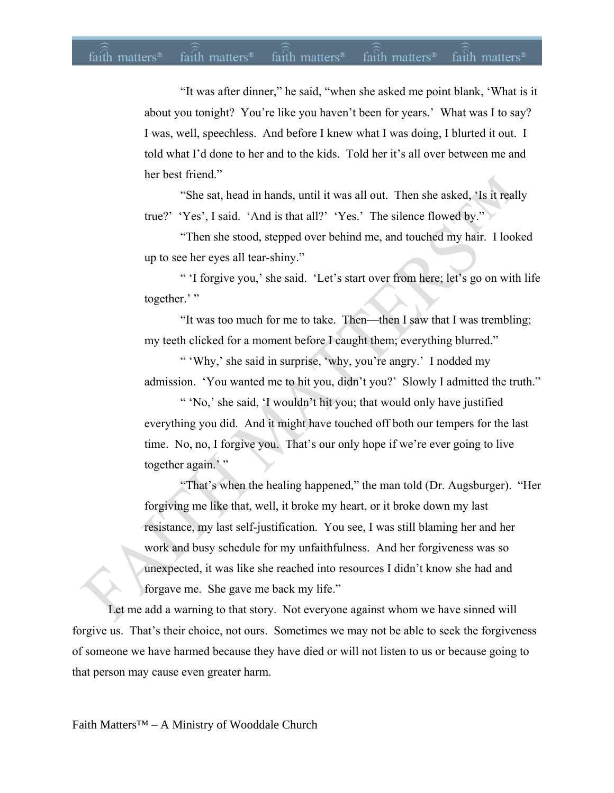#### faith matters<sup>®</sup> faith matters<sup>®</sup> faith matters<sup>®</sup> faith matters<sup>®</sup> faith matters<sup>®</sup>

"It was after dinner," he said, "when she asked me point blank, 'What is it about you tonight? You're like you haven't been for years.' What was I to say? I was, well, speechless. And before I knew what I was doing, I blurted it out. I told what I'd done to her and to the kids. Told her it's all over between me and her best friend."

"She sat, head in hands, until it was all out. Then she asked, 'Is it really true?' 'Yes', I said. 'And is that all?' 'Yes.' The silence flowed by."

"Then she stood, stepped over behind me, and touched my hair. I looked up to see her eyes all tear-shiny."

" 'I forgive you,' she said. 'Let's start over from here; let's go on with life together.'"

"It was too much for me to take. Then—then I saw that I was trembling; my teeth clicked for a moment before I caught them; everything blurred."

" 'Why,' she said in surprise, 'why, you're angry.' I nodded my admission. 'You wanted me to hit you, didn't you?' Slowly I admitted the truth."

" 'No,' she said, 'I wouldn't hit you; that would only have justified everything you did. And it might have touched off both our tempers for the last time. No, no, I forgive you. That's our only hope if we're ever going to live together again.'"

"That's when the healing happened," the man told (Dr. Augsburger). "Her forgiving me like that, well, it broke my heart, or it broke down my last resistance, my last self-justification. You see, I was still blaming her and her work and busy schedule for my unfaithfulness. And her forgiveness was so unexpected, it was like she reached into resources I didn't know she had and forgave me. She gave me back my life."

Let me add a warning to that story. Not everyone against whom we have sinned will forgive us. That's their choice, not ours. Sometimes we may not be able to seek the forgiveness of someone we have harmed because they have died or will not listen to us or because going to that person may cause even greater harm.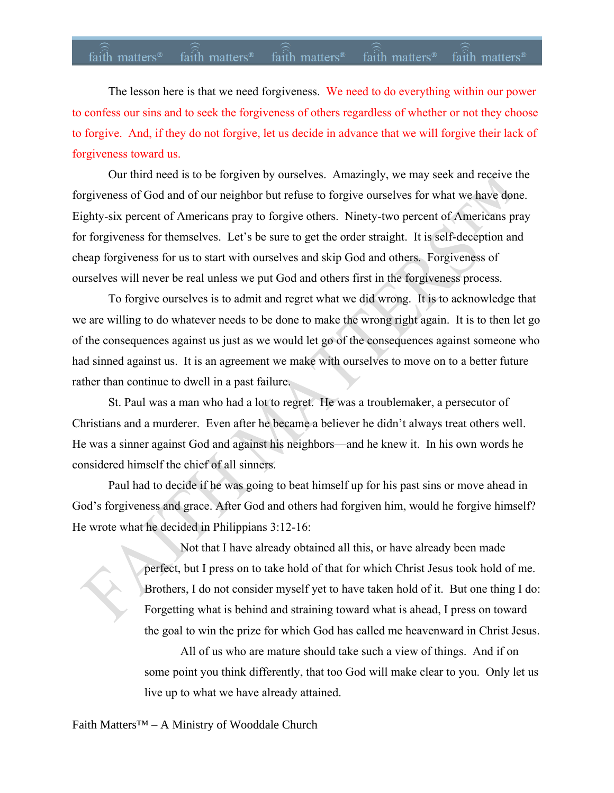## faith matters<sup>®</sup> faith matters<sup>®</sup> faith matters<sup>®</sup> faith matters® faith matters®

The lesson here is that we need forgiveness. We need to do everything within our power to confess our sins and to seek the forgiveness of others regardless of whether or not they choose to forgive. And, if they do not forgive, let us decide in advance that we will forgive their lack of forgiveness toward us.

Our third need is to be forgiven by ourselves. Amazingly, we may seek and receive the forgiveness of God and of our neighbor but refuse to forgive ourselves for what we have done. Eighty-six percent of Americans pray to forgive others. Ninety-two percent of Americans pray for forgiveness for themselves. Let's be sure to get the order straight. It is self-deception and cheap forgiveness for us to start with ourselves and skip God and others. Forgiveness of ourselves will never be real unless we put God and others first in the forgiveness process.

To forgive ourselves is to admit and regret what we did wrong. It is to acknowledge that we are willing to do whatever needs to be done to make the wrong right again. It is to then let go of the consequences against us just as we would let go of the consequences against someone who had sinned against us. It is an agreement we make with ourselves to move on to a better future rather than continue to dwell in a past failure.

St. Paul was a man who had a lot to regret. He was a troublemaker, a persecutor of Christians and a murderer. Even after he became a believer he didn't always treat others well. He was a sinner against God and against his neighbors—and he knew it. In his own words he considered himself the chief of all sinners.

Paul had to decide if he was going to beat himself up for his past sins or move ahead in God's forgiveness and grace. After God and others had forgiven him, would he forgive himself? He wrote what he decided in Philippians 3:12-16:

> Not that I have already obtained all this, or have already been made perfect, but I press on to take hold of that for which Christ Jesus took hold of me. Brothers, I do not consider myself yet to have taken hold of it. But one thing I do: Forgetting what is behind and straining toward what is ahead, I press on toward the goal to win the prize for which God has called me heavenward in Christ Jesus.

> All of us who are mature should take such a view of things. And if on some point you think differently, that too God will make clear to you. Only let us live up to what we have already attained.